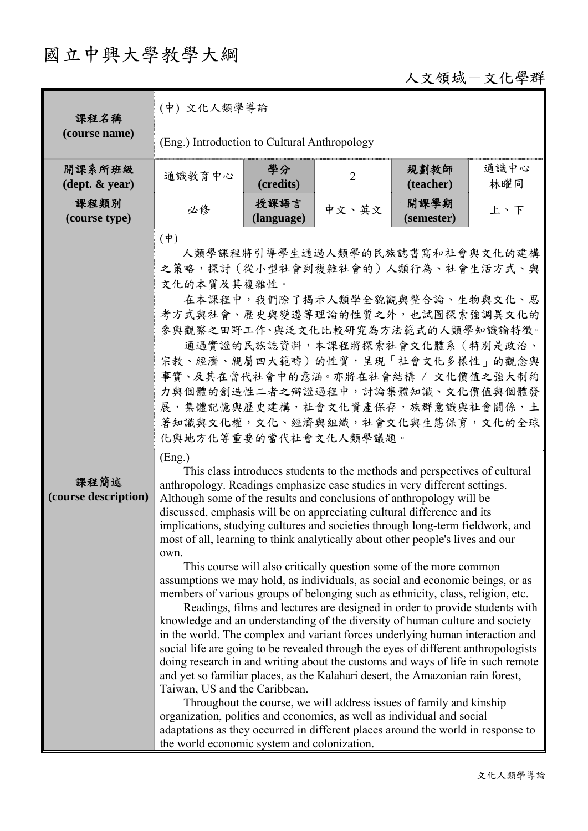# 國立中興大學教學大綱

## 人文領域-文化學群

| 課程名稱                                       | (中) 文化人類學導論                                                                                                                                                                                                                                                                                                                                                                                                                                                                                                                                                                                                                                                                                                                                                                                                                                                                                                                                                                                                                                                                                                                                                                                                                                                                                                                                                                                                                                                                                                                                                               |                    |                |                    |             |  |
|--------------------------------------------|---------------------------------------------------------------------------------------------------------------------------------------------------------------------------------------------------------------------------------------------------------------------------------------------------------------------------------------------------------------------------------------------------------------------------------------------------------------------------------------------------------------------------------------------------------------------------------------------------------------------------------------------------------------------------------------------------------------------------------------------------------------------------------------------------------------------------------------------------------------------------------------------------------------------------------------------------------------------------------------------------------------------------------------------------------------------------------------------------------------------------------------------------------------------------------------------------------------------------------------------------------------------------------------------------------------------------------------------------------------------------------------------------------------------------------------------------------------------------------------------------------------------------------------------------------------------------|--------------------|----------------|--------------------|-------------|--|
| (course name)                              | (Eng.) Introduction to Cultural Anthropology                                                                                                                                                                                                                                                                                                                                                                                                                                                                                                                                                                                                                                                                                                                                                                                                                                                                                                                                                                                                                                                                                                                                                                                                                                                                                                                                                                                                                                                                                                                              |                    |                |                    |             |  |
| 開課系所班級<br>$(\text{dept.} \& \text{ year})$ | 通識教育中心                                                                                                                                                                                                                                                                                                                                                                                                                                                                                                                                                                                                                                                                                                                                                                                                                                                                                                                                                                                                                                                                                                                                                                                                                                                                                                                                                                                                                                                                                                                                                                    | 學分<br>(credits)    | $\overline{2}$ | 規劃教師<br>(teacher)  | 通識中心<br>林曜同 |  |
| 課程類別<br>(course type)                      | 必修                                                                                                                                                                                                                                                                                                                                                                                                                                                                                                                                                                                                                                                                                                                                                                                                                                                                                                                                                                                                                                                                                                                                                                                                                                                                                                                                                                                                                                                                                                                                                                        | 授課語言<br>(language) | 中文、英文          | 開課學期<br>(semester) | 上、下         |  |
|                                            | $(\dagger)$<br>人類學課程將引導學生通過人類學的民族誌書寫和社會與文化的建構<br>之策略,探討 (從小型社會到複雜社會的)人類行為、社會生活方式、與<br>文化的本質及其複雜性。<br>在本課程中,我們除了揭示人類學全貌觀與整合論、生物與文化、思<br>考方式與社會、歷史與變遷等理論的性質之外,也試圖探索強調異文化的<br>參與觀察之田野工作、與泛文化比較研究為方法範式的人類學知識論特徵。<br>通過實證的民族誌資料,本課程將探索社會文化體系(特別是政治、<br>宗教、經濟、親屬四大範疇) 的性質,呈現「社會文化多樣性」的觀念與<br>事實、及其在當代社會中的意涵。亦將在社會結構 / 文化價值之強大制約<br>力與個體的創造性二者之辯證過程中,討論集體知識、文化價值與個體發<br>展,集體記憶與歷史建構,社會文化資產保存,族群意識與社會關係,土<br>著知識與文化權,文化、經濟與組織,社會文化與生態保育,文化的全球<br>化與地方化等重要的當代社會文化人類學議題。                                                                                                                                                                                                                                                                                                                                                                                                                                                                                                                                                                                                                                                                                                                                                                                                                                                                                                                                                                                                                                                                                                            |                    |                |                    |             |  |
| 課程簡述<br>(course description)               | (Eng.)<br>This class introduces students to the methods and perspectives of cultural<br>anthropology. Readings emphasize case studies in very different settings.<br>Although some of the results and conclusions of anthropology will be<br>discussed, emphasis will be on appreciating cultural difference and its<br>implications, studying cultures and societies through long-term fieldwork, and<br>most of all, learning to think analytically about other people's lives and our<br>own.<br>This course will also critically question some of the more common<br>assumptions we may hold, as individuals, as social and economic beings, or as<br>members of various groups of belonging such as ethnicity, class, religion, etc.<br>Readings, films and lectures are designed in order to provide students with<br>knowledge and an understanding of the diversity of human culture and society<br>in the world. The complex and variant forces underlying human interaction and<br>social life are going to be revealed through the eyes of different anthropologists<br>doing research in and writing about the customs and ways of life in such remote<br>and yet so familiar places, as the Kalahari desert, the Amazonian rain forest,<br>Taiwan, US and the Caribbean.<br>Throughout the course, we will address issues of family and kinship<br>organization, politics and economics, as well as individual and social<br>adaptations as they occurred in different places around the world in response to<br>the world economic system and colonization. |                    |                |                    |             |  |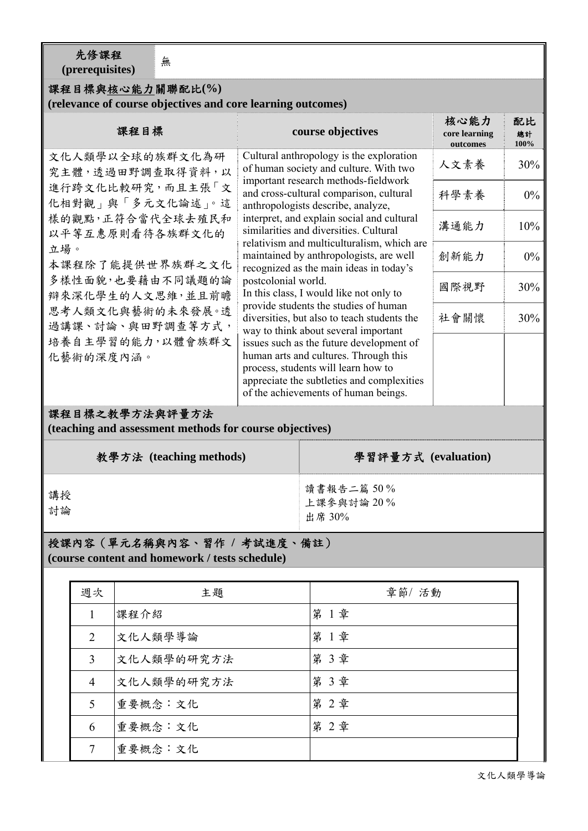先修課程

元修統任<br>(prerequisites)

### 課程目標與核心能力關聯配比**(%)**

#### **(relevance of course objectives and core learning outcomes)**

| 課程目標                                                                                                                                                                                                                                                          |              | course objectives                                                                                                                                                                                                                                                                                                                                                                                                                                                                                                                                                                                                                            |                                                                               | 核心能力<br>core learning<br>outcomes | 配比<br>總計<br>100% |  |
|---------------------------------------------------------------------------------------------------------------------------------------------------------------------------------------------------------------------------------------------------------------|--------------|----------------------------------------------------------------------------------------------------------------------------------------------------------------------------------------------------------------------------------------------------------------------------------------------------------------------------------------------------------------------------------------------------------------------------------------------------------------------------------------------------------------------------------------------------------------------------------------------------------------------------------------------|-------------------------------------------------------------------------------|-----------------------------------|------------------|--|
| 文化人類學以全球的族群文化為研<br>究主體,透過田野調查取得資料,以<br>進行跨文化比較研究,而且主張「文<br>化相對觀 再「多元文化論述」。這<br>樣的觀點,正符合當代全球去殖民和<br>以平等互惠原則看待各族群文化的<br>立場。<br>本課程除了能提供世界族群之文化<br>多樣性面貌,也要藉由不同議題的論<br>辩來深化學生的人文思維,並且前瞻<br>思考人類文化與藝術的未來發展。透<br>過講課、討論、與田野調查等方式,<br>培養自主學習的能力,以體會族群文<br>化藝術的深度內涵。 |              | Cultural anthropology is the exploration<br>of human society and culture. With two<br>important research methods-fieldwork                                                                                                                                                                                                                                                                                                                                                                                                                                                                                                                   |                                                                               | 人文素養                              | 30%              |  |
|                                                                                                                                                                                                                                                               |              |                                                                                                                                                                                                                                                                                                                                                                                                                                                                                                                                                                                                                                              | and cross-cultural comparison, cultural<br>anthropologists describe, analyze, | 科學素養                              | $0\%$            |  |
|                                                                                                                                                                                                                                                               |              | interpret, and explain social and cultural<br>similarities and diversities. Cultural<br>relativism and multiculturalism, which are<br>maintained by anthropologists, are well<br>recognized as the main ideas in today's<br>postcolonial world.<br>In this class, I would like not only to<br>provide students the studies of human<br>diversities, but also to teach students the<br>way to think about several important<br>issues such as the future development of<br>human arts and cultures. Through this<br>process, students will learn how to<br>appreciate the subtleties and complexities<br>of the achievements of human beings. |                                                                               | 溝通能力                              | 10%              |  |
|                                                                                                                                                                                                                                                               |              |                                                                                                                                                                                                                                                                                                                                                                                                                                                                                                                                                                                                                                              |                                                                               | 創新能力                              | 0%               |  |
|                                                                                                                                                                                                                                                               |              |                                                                                                                                                                                                                                                                                                                                                                                                                                                                                                                                                                                                                                              |                                                                               | 國際視野                              | 30%              |  |
|                                                                                                                                                                                                                                                               |              |                                                                                                                                                                                                                                                                                                                                                                                                                                                                                                                                                                                                                                              |                                                                               | 社會關懷                              | 30%              |  |
|                                                                                                                                                                                                                                                               |              |                                                                                                                                                                                                                                                                                                                                                                                                                                                                                                                                                                                                                                              |                                                                               |                                   |                  |  |
|                                                                                                                                                                                                                                                               |              | 課程目標之教學方法與評量方法<br>(teaching and assessment methods for course objectives)                                                                                                                                                                                                                                                                                                                                                                                                                                                                                                                                                                    |                                                                               |                                   |                  |  |
|                                                                                                                                                                                                                                                               |              | 教學方法 (teaching methods)                                                                                                                                                                                                                                                                                                                                                                                                                                                                                                                                                                                                                      |                                                                               | 學習評量方式 (evaluation)               |                  |  |
| 講授<br>討論                                                                                                                                                                                                                                                      |              |                                                                                                                                                                                                                                                                                                                                                                                                                                                                                                                                                                                                                                              |                                                                               | 讀書報告二篇50%<br>上課參與討論20%<br>出席 30%  |                  |  |
|                                                                                                                                                                                                                                                               |              | 授課內容 (單元名稱與內容、習作 / 考試進度、備註)<br>(course content and homework / tests schedule)                                                                                                                                                                                                                                                                                                                                                                                                                                                                                                                                                                |                                                                               |                                   |                  |  |
|                                                                                                                                                                                                                                                               | 週次           | 主題                                                                                                                                                                                                                                                                                                                                                                                                                                                                                                                                                                                                                                           |                                                                               | 章節/活動                             |                  |  |
|                                                                                                                                                                                                                                                               | $\mathbf{1}$ | 課程介紹                                                                                                                                                                                                                                                                                                                                                                                                                                                                                                                                                                                                                                         |                                                                               | 第1章                               |                  |  |
| 文化人類學導論<br>$\overline{2}$                                                                                                                                                                                                                                     |              | 第1章                                                                                                                                                                                                                                                                                                                                                                                                                                                                                                                                                                                                                                          |                                                                               |                                   |                  |  |
| 3<br>文化人類學的研究方法                                                                                                                                                                                                                                               |              | 第3章                                                                                                                                                                                                                                                                                                                                                                                                                                                                                                                                                                                                                                          |                                                                               |                                   |                  |  |
| 文化人類學的研究方法<br>$\overline{4}$                                                                                                                                                                                                                                  |              | 第3章                                                                                                                                                                                                                                                                                                                                                                                                                                                                                                                                                                                                                                          |                                                                               |                                   |                  |  |

5 重要概念:文化 | 第 2章

 $6$  重要概念:文化 | 第 2章

7 重要概念:文化